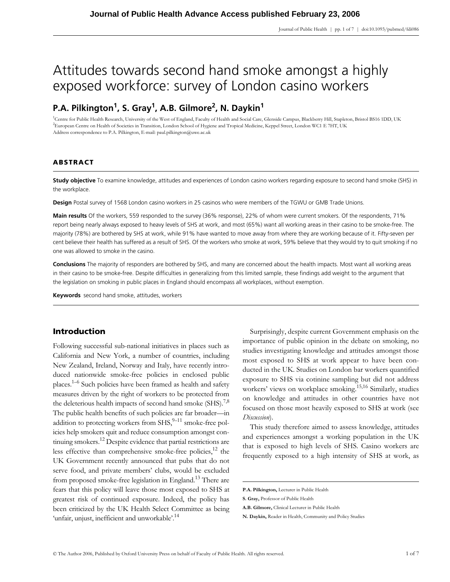# Attitudes towards second hand smoke amongst a highly exposed workforce: survey of London casino workers

## **P.A. Pilkington1, S. Gray1 , A.B. Gilmore2 , N. Daykin<sup>1</sup>**

<sup>1</sup>Centre for Public Health Research, University of the West of England, Faculty of Health and Social Care, Glenside Campus, Blackberry Hill, Stapleton, Bristol BS16 1DD, UK 2 European Centre on Health of Societies in Transition, London School of Hygiene and Tropical Medicine, Keppel Street, London WC1 E 7HT, UK Address correspondence to P.A. Pilkington, E-mail: paul.pilkington@uwe.ac.uk

## **ABSTRACT**

**Study objective** To examine knowledge, attitudes and experiences of London casino workers regarding exposure to second hand smoke (SHS) in the workplace.

**Design** Postal survey of 1568 London casino workers in 25 casinos who were members of the TGWU or GMB Trade Unions.

**Main results** Of the workers, 559 responded to the survey (36% response), 22% of whom were current smokers. Of the respondents, 71% report being nearly always exposed to heavy levels of SHS at work, and most (65%) want all working areas in their casino to be smoke-free. The majority (78%) are bothered by SHS at work, while 91% have wanted to move away from where they are working because of it. Fifty-seven per cent believe their health has suffered as a result of SHS. Of the workers who smoke at work, 59% believe that they would try to quit smoking if no one was allowed to smoke in the casino.

**Conclusions** The majority of responders are bothered by SHS, and many are concerned about the health impacts. Most want all working areas in their casino to be smoke-free. Despite difficulties in generalizing from this limited sample, these findings add weight to the argument that the legislation on smoking in public places in England should encompass all workplaces, without exemption.

**Keywords** second hand smoke, attitudes, workers

## **Introduction**

Following successful sub-national initiatives in places such as California and New York, a number of countries, including New Zealand, Ireland, Norway and Italy, have recently introduced nationwide smoke-free policies in enclosed public places.1–6 Such policies have been framed as health and safety measures driven by the right of workers to be protected from the deleterious health impacts of second hand smoke  $(SHS).^{7,8}$ The public health benefits of such policies are far broader—in addition to protecting workers from  $SHS<sub>1</sub><sup>9–11</sup>$  smoke-free policies help smokers quit and reduce consumption amongst continuing smokers.12 Despite evidence that partial restrictions are less effective than comprehensive smoke-free policies, $^{12}$  the UK Government recently announced that pubs that do not serve food, and private members' clubs, would be excluded from proposed smoke-free legislation in England.<sup>13</sup> There are fears that this policy will leave those most exposed to SHS at greatest risk of continued exposure. Indeed, the policy has been criticized by the UK Health Select Committee as being 'unfair, unjust, inefficient and unworkable'.<sup>14</sup>

Surprisingly, despite current Government emphasis on the importance of public opinion in the debate on smoking, no studies investigating knowledge and attitudes amongst those most exposed to SHS at work appear to have been conducted in the UK. Studies on London bar workers quantified exposure to SHS via cotinine sampling but did not address workers' views on workplace smoking.<sup>15,16</sup> Similarly, studies on knowledge and attitudes in other countries have not focused on those most heavily exposed to SHS at work (see *Discussion*).

This study therefore aimed to assess knowledge, attitudes and experiences amongst a working population in the UK that is exposed to high levels of SHS. Casino workers are frequently exposed to a high intensity of SHS at work, as

**P.A. Pilkington,** Lecturer in Public Health

**S. Gray,** Professor of Public Health

**A.B. Gilmore,** Clinical Lecturer in Public Health

**N. Daykin,** Reader in Health, Community and Policy Studies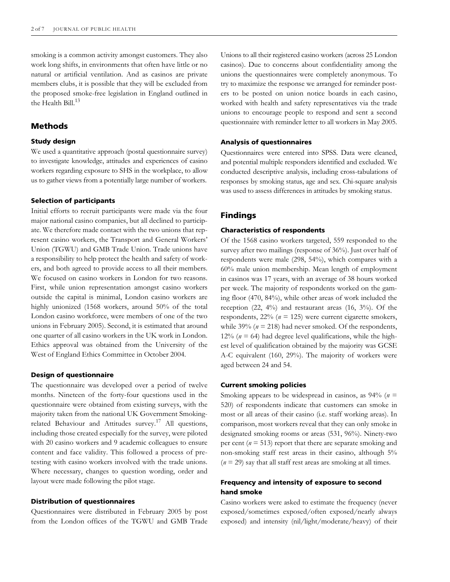smoking is a common activity amongst customers. They also work long shifts, in environments that often have little or no natural or artificial ventilation. And as casinos are private members clubs, it is possible that they will be excluded from the proposed smoke-free legislation in England outlined in the Health Bill. $^{13}$ 

## **Methods**

#### **Study design**

We used a quantitative approach (postal questionnaire survey) to investigate knowledge, attitudes and experiences of casino workers regarding exposure to SHS in the workplace, to allow us to gather views from a potentially large number of workers.

#### **Selection of participants**

Initial efforts to recruit participants were made via the four major national casino companies, but all declined to participate. We therefore made contact with the two unions that represent casino workers, the Transport and General Workers' Union (TGWU) and GMB Trade Union. Trade unions have a responsibility to help protect the health and safety of workers, and both agreed to provide access to all their members. We focused on casino workers in London for two reasons. First, while union representation amongst casino workers outside the capital is minimal, London casino workers are highly unionized (1568 workers, around 50% of the total London casino workforce, were members of one of the two unions in February 2005). Second, it is estimated that around one quarter of all casino workers in the UK work in London. Ethics approval was obtained from the University of the West of England Ethics Committee in October 2004.

#### **Design of questionnaire**

The questionnaire was developed over a period of twelve months. Nineteen of the forty-four questions used in the questionnaire were obtained from existing surveys, with the majority taken from the national UK Government Smokingrelated Behaviour and Attitudes survey.<sup>17</sup> All questions, including those created especially for the survey, were piloted with 20 casino workers and 9 academic colleagues to ensure content and face validity. This followed a process of pretesting with casino workers involved with the trade unions. Where necessary, changes to question wording, order and layout were made following the pilot stage.

#### **Distribution of questionnaires**

Questionnaires were distributed in February 2005 by post from the London offices of the TGWU and GMB Trade Unions to all their registered casino workers (across 25 London casinos). Due to concerns about confidentiality among the unions the questionnaires were completely anonymous. To try to maximize the response we arranged for reminder posters to be posted on union notice boards in each casino, worked with health and safety representatives via the trade unions to encourage people to respond and sent a second questionnaire with reminder letter to all workers in May 2005.

#### **Analysis of questionnaires**

Questionnaires were entered into SPSS. Data were cleaned, and potential multiple responders identified and excluded. We conducted descriptive analysis, including cross-tabulations of responses by smoking status, age and sex. Chi-square analysis was used to assess differences in attitudes by smoking status.

## **Findings**

#### **Characteristics of respondents**

Of the 1568 casino workers targeted, 559 responded to the survey after two mailings (response of 36%). Just over half of respondents were male (298, 54%), which compares with a 60% male union membership. Mean length of employment in casinos was 17 years, with an average of 38 hours worked per week. The majority of respondents worked on the gaming floor (470, 84%), while other areas of work included the reception  $(22, 4\%)$  and restaurant areas  $(16, 3\%)$ . Of the respondents,  $22\%$  ( $n = 125$ ) were current cigarette smokers, while 39% ( $n = 218$ ) had never smoked. Of the respondents, 12% ( $n = 64$ ) had degree level qualifications, while the highest level of qualification obtained by the majority was GCSE A-C equivalent (160, 29%). The majority of workers were aged between 24 and 54.

## **Current smoking policies**

Smoking appears to be widespread in casinos, as 94% (*n* = 520) of respondents indicate that customers can smoke in most or all areas of their casino (i.e. staff working areas). In comparison, most workers reveal that they can only smoke in designated smoking rooms or areas (531, 96%). Ninety-two per cent (*n* = 513) report that there are separate smoking and non-smoking staff rest areas in their casino, although 5%  $(n = 29)$  say that all staff rest areas are smoking at all times.

## **Frequency and intensity of exposure to second hand smoke**

Casino workers were asked to estimate the frequency (never exposed/sometimes exposed/often exposed/nearly always exposed) and intensity (nil/light/moderate/heavy) of their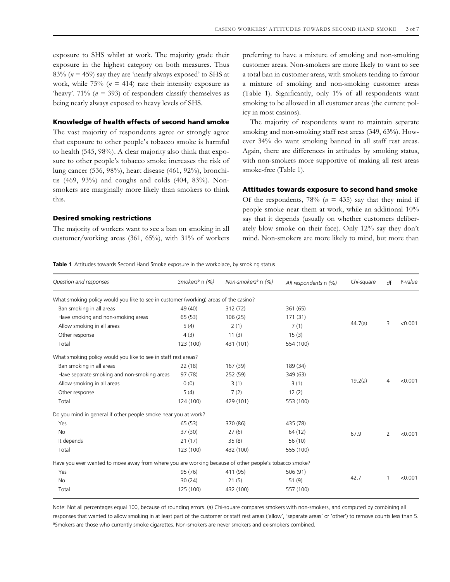exposure to SHS whilst at work. The majority grade their exposure in the highest category on both measures. Thus 83% ( $n = 459$ ) say they are 'nearly always exposed' to SHS at work, while  $75\%$  ( $n = 414$ ) rate their intensity exposure as 'heavy'. 71% ( $n = 393$ ) of responders classify themselves as being nearly always exposed to heavy levels of SHS.

## **Knowledge of health effects of second hand smoke**

The vast majority of respondents agree or strongly agree that exposure to other people's tobacco smoke is harmful to health (545, 98%). A clear majority also think that exposure to other people's tobacco smoke increases the risk of lung cancer (536, 98%), heart disease (461, 92%), bronchitis (469, 93%) and coughs and colds (404, 83%). Nonsmokers are marginally more likely than smokers to think this.

#### **Desired smoking restrictions**

The majority of workers want to see a ban on smoking in all customer/working areas (361, 65%), with 31% of workers

preferring to have a mixture of smoking and non-smoking customer areas. Non-smokers are more likely to want to see a total ban in customer areas, with smokers tending to favour a mixture of smoking and non-smoking customer areas (Table 1). Significantly, only 1% of all respondents want smoking to be allowed in all customer areas (the current policy in most casinos).

The majority of respondents want to maintain separate smoking and non-smoking staff rest areas (349, 63%). However 34% do want smoking banned in all staff rest areas. Again, there are differences in attitudes by smoking status, with non-smokers more supportive of making all rest areas smoke-free (Table 1).

#### **Attitudes towards exposure to second hand smoke**

Of the respondents,  $78\%$  ( $n = 435$ ) say that they mind if people smoke near them at work, while an additional 10% say that it depends (usually on whether customers deliberately blow smoke on their face). Only 12% say they don't mind. Non-smokers are more likely to mind, but more than

**Table 1** Attitudes towards Second Hand Smoke exposure in the workplace, by smoking status

| Question and responses                                                                                | Smokers <sup>a</sup> n (%) | Non-smokers <sup>a</sup> n (%) | All respondents n (%) | Chi-square | df | P-value |
|-------------------------------------------------------------------------------------------------------|----------------------------|--------------------------------|-----------------------|------------|----|---------|
| What smoking policy would you like to see in customer (working) areas of the casino?                  |                            |                                |                       |            |    |         |
| Ban smoking in all areas                                                                              | 49 (40)                    | 312 (72)                       | 361 (65)              | 44.7(a)    | 3  | < 0.001 |
| Have smoking and non-smoking areas                                                                    | 65 (53)                    | 106(25)                        | 171 (31)              |            |    |         |
| Allow smoking in all areas                                                                            | 5(4)                       | 2(1)                           | 7(1)                  |            |    |         |
| Other response                                                                                        | 4(3)                       | 11(3)                          | 15(3)                 |            |    |         |
| Total                                                                                                 | 123 (100)                  | 431 (101)                      | 554 (100)             |            |    |         |
| What smoking policy would you like to see in staff rest areas?                                        |                            |                                |                       |            |    |         |
| Ban smoking in all areas                                                                              | 22(18)                     | 167 (39)                       | 189 (34)              | 19.2(a)    | 4  | < 0.001 |
| Have separate smoking and non-smoking areas                                                           | 97 (78)                    | 252 (59)                       | 349 (63)              |            |    |         |
| Allow smoking in all areas                                                                            | 0(0)                       | 3(1)                           | 3(1)                  |            |    |         |
| Other response                                                                                        | 5(4)                       | 7(2)                           | 12(2)                 |            |    |         |
| Total                                                                                                 | 124 (100)                  | 429 (101)                      | 553 (100)             |            |    |         |
| Do you mind in general if other people smoke near you at work?                                        |                            |                                |                       |            |    |         |
| Yes                                                                                                   | 65(53)                     | 370 (86)                       | 435 (78)              | 67.9       | 2  | < 0.001 |
| <b>No</b>                                                                                             | 37(30)                     | 27(6)                          | 64 (12)               |            |    |         |
| It depends                                                                                            | 21(17)                     | 35(8)                          | 56 (10)               |            |    |         |
| Total                                                                                                 | 123 (100)                  | 432 (100)                      | 555 (100)             |            |    |         |
| Have you ever wanted to move away from where you are working because of other people's tobacco smoke? |                            |                                |                       |            |    |         |
| Yes                                                                                                   | 95 (76)                    | 411 (95)                       | 506 (91)              | 42.7       | 1  | < 0.001 |
| No                                                                                                    | 30(24)                     | 21(5)                          | 51(9)                 |            |    |         |
| Total                                                                                                 | 125 (100)                  | 432 (100)                      | 557 (100)             |            |    |         |

Note: Not all percentages equal 100, because of rounding errors. (a) Chi-square compares smokers with non-smokers, and computed by combining all responses that wanted to allow smoking in at least part of the customer or staff rest areas ('allow', 'separate areas' or 'other') to remove counts less than 5. aSmokers are those who currently smoke cigarettes. Non-smokers are never smokers and ex-smokers combined.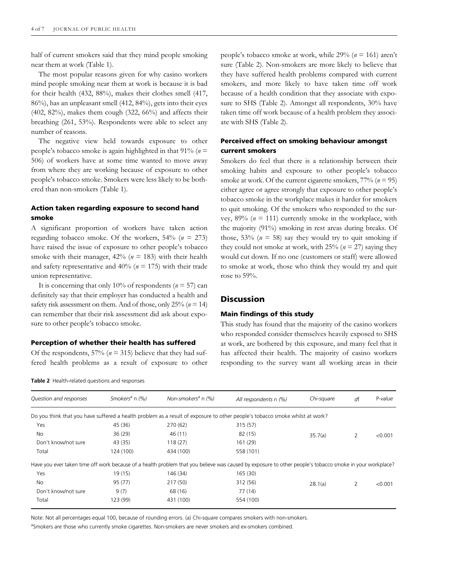half of current smokers said that they mind people smoking near them at work (Table 1).

The most popular reasons given for why casino workers mind people smoking near them at work is because it is bad for their health (432, 88%), makes their clothes smell (417, 86%), has an unpleasant smell (412, 84%), gets into their eyes  $(402, 82%)$ , makes them cough  $(322, 66%)$  and affects their breathing (261, 53%). Respondents were able to select any number of reasons.

The negative view held towards exposure to other people's tobacco smoke is again highlighted in that 91% (*n* = 506) of workers have at some time wanted to move away from where they are working because of exposure to other people's tobacco smoke. Smokers were less likely to be bothered than non-smokers (Table 1).

## **Action taken regarding exposure to second hand smoke**

A significant proportion of workers have taken action regarding tobacco smoke. Of the workers, 54% (*n* = 273) have raised the issue of exposure to other people's tobacco smoke with their manager,  $42\%$  ( $n = 183$ ) with their health and safety representative and 40% (*n* = 175) with their trade union representative.

It is concerning that only 10% of respondents ( $n = 57$ ) can definitely say that their employer has conducted a health and safety risk assessment on them. And of those, only 25% (*n* = 14) can remember that their risk assessment did ask about exposure to other people's tobacco smoke.

#### **Perception of whether their health has suffered**

**Table 2** Health-related questions and responses

Of the respondents,  $57\%$  ( $n = 315$ ) believe that they had suffered health problems as a result of exposure to other people's tobacco smoke at work, while 29% (*n* = 161) aren't sure (Table 2). Non-smokers are more likely to believe that they have suffered health problems compared with current smokers, and more likely to have taken time off work because of a health condition that they associate with exposure to SHS (Table 2). Amongst all respondents, 30% have taken time off work because of a health problem they associate with SHS (Table 2).

## **Perceived effect on smoking behaviour amongst current smokers**

Smokers do feel that there is a relationship between their smoking habits and exposure to other people's tobacco smoke at work. Of the current cigarette smokers, 77% (*n* = 95) either agree or agree strongly that exposure to other people's tobacco smoke in the workplace makes it harder for smokers to quit smoking. Of the smokers who responded to the survey,  $89\%$  ( $n = 111$ ) currently smoke in the workplace, with the majority (91%) smoking in rest areas during breaks. Of those,  $53\%$  ( $n = 58$ ) say they would try to quit smoking if they could not smoke at work, with  $25\%$  ( $n = 27$ ) saying they would cut down. If no one (customers or staff) were allowed to smoke at work, those who think they would try and quit rose to 59%.

## **Discussion**

#### **Main findings of this study**

This study has found that the majority of the casino workers who responded consider themselves heavily exposed to SHS at work, are bothered by this exposure, and many feel that it has affected their health. The majority of casino workers responding to the survey want all working areas in their

*Question and responses Smokersa* n *(%) Non-smokers<sup>a</sup>* n *(%) All respondents* n *(%) Chi-square d*f P*-value* Do you think that you have suffered a health problem as a result of exposure to other people's tobacco smoke whilst at work? Yes 45 (36) 270 (62) 315 (57) No 36 (29) 46 (11) 82 (15) 35.7(a) 2 <0.001 Don't know/not sure 43 (35) 118 (27) 161 (29) Total 124 (100) 434 (100) 558 (101) Have you ever taken time off work because of a health problem that you believe was caused by exposure to other people's tobacco smoke in your workplace? Yes 19 (15) 146 (34) 165 (30) No 95 (77) 217 (50) 312 (56) 28.1(a) 2 <0.001 Don't know/not sure 9 (7) 68 (16) 77 (14) Total 123 (99) 431 (100) 554 (100)

Note: Not all percentages equal 100, because of rounding errors. (a) Chi-square compares smokers with non-smokers.

aSmokers are those who currently smoke cigarettes. Non-smokers are never smokers and ex-smokers combined.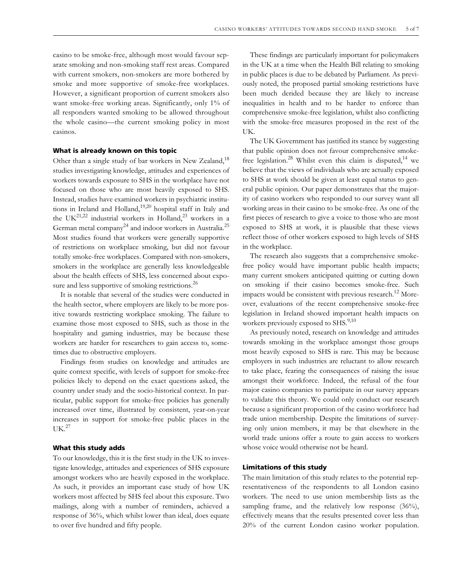casino to be smoke-free, although most would favour separate smoking and non-smoking staff rest areas. Compared with current smokers, non-smokers are more bothered by smoke and more supportive of smoke-free workplaces. However, a significant proportion of current smokers also want smoke-free working areas. Significantly, only 1% of all responders wanted smoking to be allowed throughout the whole casino—the current smoking policy in most casinos.

#### **What is already known on this topic**

Other than a single study of bar workers in New Zealand,<sup>18</sup> studies investigating knowledge, attitudes and experiences of workers towards exposure to SHS in the workplace have not focused on those who are most heavily exposed to SHS. Instead, studies have examined workers in psychiatric institutions in Ireland and Holland, $19,20$  hospital staff in Italy and the UK<sup>21,22</sup> industrial workers in Holland,<sup>23</sup> workers in a German metal company<sup>24</sup> and indoor workers in Australia.<sup>25</sup> Most studies found that workers were generally supportive of restrictions on workplace smoking, but did not favour totally smoke-free workplaces. Compared with non-smokers, smokers in the workplace are generally less knowledgeable about the health effects of SHS, less concerned about exposure and less supportive of smoking restrictions.<sup>26</sup>

It is notable that several of the studies were conducted in the health sector, where employers are likely to be more positive towards restricting workplace smoking. The failure to examine those most exposed to SHS, such as those in the hospitality and gaming industries, may be because these workers are harder for researchers to gain access to, sometimes due to obstructive employers.

Findings from studies on knowledge and attitudes are quite context specific, with levels of support for smoke-free policies likely to depend on the exact questions asked, the country under study and the socio-historical context. In particular, public support for smoke-free policies has generally increased over time, illustrated by consistent, year-on-year increases in support for smoke-free public places in the  $UK.<sup>27</sup>$ 

#### **What this study adds**

To our knowledge, this it is the first study in the UK to investigate knowledge, attitudes and experiences of SHS exposure amongst workers who are heavily exposed in the workplace. As such, it provides an important case study of how UK workers most affected by SHS feel about this exposure. Two mailings, along with a number of reminders, achieved a response of 36%, which whilst lower than ideal, does equate to over five hundred and fifty people.

These findings are particularly important for policymakers in the UK at a time when the Health Bill relating to smoking in public places is due to be debated by Parliament. As previously noted, the proposed partial smoking restrictions have been much derided because they are likely to increase inequalities in health and to be harder to enforce than comprehensive smoke-free legislation, whilst also conflicting with the smoke-free measures proposed in the rest of the UK.

The UK Government has justified its stance by suggesting that public opinion does not favour comprehensive smokefree legislation.<sup>28</sup> Whilst even this claim is disputed,<sup>14</sup> we believe that the views of individuals who are actually exposed to SHS at work should be given at least equal status to general public opinion. Our paper demonstrates that the majority of casino workers who responded to our survey want all working areas in their casino to be smoke-free. As one of the first pieces of research to give a voice to those who are most exposed to SHS at work, it is plausible that these views reflect those of other workers exposed to high levels of SHS in the workplace.

The research also suggests that a comprehensive smokefree policy would have important public health impacts; many current smokers anticipated quitting or cutting down on smoking if their casino becomes smoke-free. Such impacts would be consistent with previous research.<sup>12</sup> Moreover, evaluations of the recent comprehensive smoke-free legislation in Ireland showed important health impacts on workers previously exposed to SHS.<sup>9,10</sup>

As previously noted, research on knowledge and attitudes towards smoking in the workplace amongst those groups most heavily exposed to SHS is rare. This may be because employers in such industries are reluctant to allow research to take place, fearing the consequences of raising the issue amongst their workforce. Indeed, the refusal of the four major casino companies to participate in our survey appears to validate this theory. We could only conduct our research because a significant proportion of the casino workforce had trade union membership. Despite the limitations of surveying only union members, it may be that elsewhere in the world trade unions offer a route to gain access to workers whose voice would otherwise not be heard.

#### **Limitations of this study**

The main limitation of this study relates to the potential representativeness of the respondents to all London casino workers. The need to use union membership lists as the sampling frame, and the relatively low response (36%), effectively means that the results presented cover less than 20% of the current London casino worker population.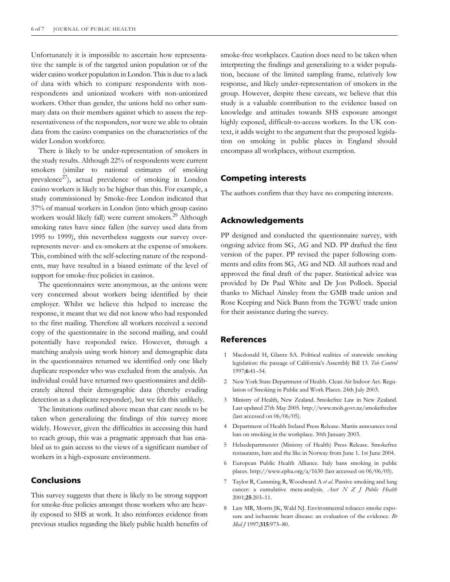Unfortunately it is impossible to ascertain how representative the sample is of the targeted union population or of the wider casino worker population in London. This is due to a lack of data with which to compare respondents with nonrespondents and unionized workers with non-unionized workers. Other than gender, the unions held no other summary data on their members against which to assess the representativeness of the responders, nor were we able to obtain data from the casino companies on the characteristics of the wider London workforce.

There is likely to be under-representation of smokers in the study results. Although 22% of respondents were current smokers (similar to national estimates of smoking prevalence<sup>27</sup>), actual prevalence of smoking in London casino workers is likely to be higher than this. For example, a study commissioned by Smoke-free London indicated that 37% of manual workers in London (into which group casino workers would likely fall) were current smokers.<sup>29</sup> Although smoking rates have since fallen (the survey used data from 1995 to 1999), this nevertheless suggests our survey overrepresents never- and ex-smokers at the expense of smokers. This, combined with the self-selecting nature of the respondents, may have resulted in a biased estimate of the level of support for smoke-free policies in casinos.

The questionnaires were anonymous, as the unions were very concerned about workers being identified by their employer. Whilst we believe this helped to increase the response, it meant that we did not know who had responded to the first mailing. Therefore all workers received a second copy of the questionnaire in the second mailing, and could potentially have responded twice. However, through a matching analysis using work history and demographic data in the questionnaires returned we identified only one likely duplicate responder who was excluded from the analysis. An individual could have returned two questionnaires and deliberately altered their demographic data (thereby evading detection as a duplicate responder), but we felt this unlikely.

The limitations outlined above mean that care needs to be taken when generalizing the findings of this survey more widely. However, given the difficulties in accessing this hard to reach group, this was a pragmatic approach that has enabled us to gain access to the views of a significant number of workers in a high-exposure environment.

## **Conclusions**

This survey suggests that there is likely to be strong support for smoke-free policies amongst those workers who are heavily exposed to SHS at work. It also reinforces evidence from previous studies regarding the likely public health benefits of smoke-free workplaces. Caution does need to be taken when interpreting the findings and generalizing to a wider population, because of the limited sampling frame, relatively low response, and likely under-representation of smokers in the group. However, despite these caveats, we believe that this study is a valuable contribution to the evidence based on knowledge and attitudes towards SHS exposure amongst highly exposed, difficult-to-access workers. In the UK context, it adds weight to the argument that the proposed legislation on smoking in public places in England should encompass all workplaces, without exemption.

## **Competing interests**

The authors confirm that they have no competing interests.

## **Acknowledgements**

PP designed and conducted the questionnaire survey, with ongoing advice from SG, AG and ND. PP drafted the first version of the paper. PP revised the paper following comments and edits from SG, AG and ND. All authors read and approved the final draft of the paper. Statistical advice was provided by Dr Paul White and Dr Jon Pollock. Special thanks to Michael Ainsley from the GMB trade union and Rose Keeping and Nick Bunn from the TGWU trade union for their assistance during the survey.

## **References**

- 1 Macdonald H, Glantz SA. Political realities of statewide smoking legislation: the passage of California's Assembly Bill 13. *Tob Control* 1997;**6**:41–54.
- 2 New York State Department of Health. Clean Air Indoor Act. Regulation of Smoking in Public and Work Places. 24th July 2003.
- 3 Ministry of Health, New Zealand. Smokefree Law in New Zealand. Last updated 27th May 2005. http://www.moh.govt.nz/smokefreelaw (last accessed on 06/06/05).
- Department of Health Ireland Press Release. Martin announces total ban on smoking in the workplace. 30th January 2003.
- 5 Helsedepartmentet (Ministry of Health) Press Release. Smokefree restaurants, bars and the like in Norway from June 1. 1st June 2004.
- 6 European Public Health Alliance. Italy bans smoking in public places. http://www.epha.org/a/1630 (last accessed on 06/06/05).
- 7 Taylor R, Cumming R, Woodward A *et al*. Passive smoking and lung cancer: a cumulative meta-analysis. *Aust N Z J Public Health* 2001;**25**:203–11.
- 8 Law MR, Morris JK, Wald NJ. Environmental tobacco smoke exposure and ischaemic heart disease: an evaluation of the evidence. *Br Med J* 1997;**315**:973–80.